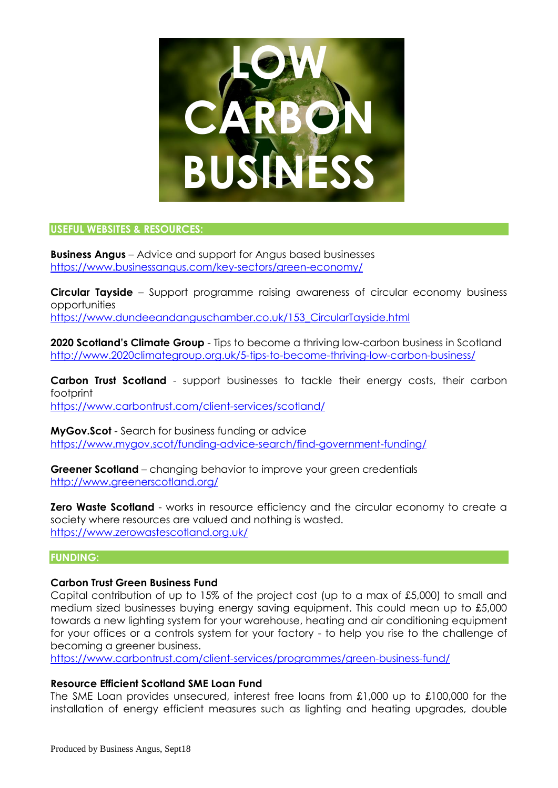

#### **USEFUL WEBSITES & RESOURCES:**

**Business Angus** – Advice and support for Angus based businesses <https://www.businessangus.com/key-sectors/green-economy/>

**Circular Tayside** – Support programme raising awareness of circular economy business opportunities

[https://www.dundeeandanguschamber.co.uk/153\\_CircularTayside.html](https://www.dundeeandanguschamber.co.uk/153_CircularTayside.html)

**2020 Scotland's Climate Group** - Tips to become a thriving low-carbon business in Scotland <http://www.2020climategroup.org.uk/5-tips-to-become-thriving-low-carbon-business/>

**Carbon Trust Scotland** - support businesses to tackle their energy costs, their carbon footprint <https://www.carbontrust.com/client-services/scotland/>

**MyGov.Scot** - Search for business funding or advice <https://www.mygov.scot/funding-advice-search/find-government-funding/>

**Greener Scotland** – changing behavior to improve your green credentials <http://www.greenerscotland.org/>

**Zero Waste Scotland** - works in resource efficiency and the circular economy to create a society where resources are valued and nothing is wasted. <https://www.zerowastescotland.org.uk/>

# **FUNDING:**

# **Carbon Trust Green Business Fund**

Capital contribution of up to 15% of the project cost (up to a max of £5,000) to small and medium sized businesses buying energy saving equipment. This could mean up to £5,000 towards a new lighting system for your warehouse, heating and air conditioning equipment for your offices or a controls system for your factory - to help you rise to the challenge of becoming a greener business.

<https://www.carbontrust.com/client-services/programmes/green-business-fund/>

# **Resource Efficient Scotland SME Loan Fund**

The SME Loan provides unsecured, interest free loans from £1,000 up to £100,000 for the installation of energy efficient measures such as lighting and heating upgrades, double